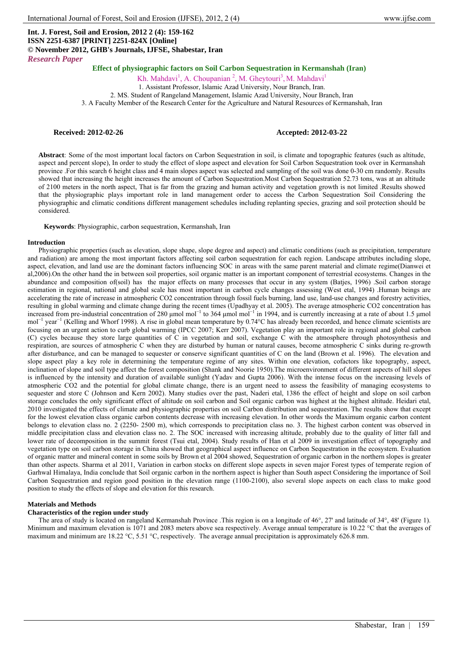**Int. J. Forest, Soil and Erosion, 2012 2 (4): 159-162 ISSN 2251-6387 [PRINT] 2251-824X [Online] © November 2012, GHB's Journals, IJFSE, Shabestar, Iran** *Research Paper*

Kh. Mahdavi<sup>1</sup>, A. Choupanian<sup>2</sup>, M. Gheytouri<sup>3</sup>, M. Mahdavi<sup>1</sup>

1. Assistant Professor, Islamic Azad University, Nour Branch, Iran.

2. MS. Student of Rangeland Management, Islamic Azad University, Nour Branch, Iran

3. A Faculty Member of the Research Center for the Agriculture and Natural Resources of Kermanshah, Iran

## **Received: 2012-02-26 Accepted: 2012-03-22**

**Abstract**: Some of the most important local factors on Carbon Sequestration in soil, is climate and topographic features (such as altitude, aspect and percent slope), In order to study the effect of slope aspect and elevation for Soil Carbon Sequestration took over in Kermanshah province .For this search 6 height class and 4 main slopes aspect was selected and sampling of the soil was done 0-30 cm randomly. Results showed that increasing the height increases the amount of Carbon Sequestration.Most Carbon Sequestration 52.73 tons, was at an altitude of 2100 meters in the north aspect, That is far from the grazing and human activity and vegetation growth is not limited .Results showed that the physiographic plays important role in land management order to access the Carbon Sequestration Soil Considering the physiographic and climatic conditions different management schedules including replanting species, grazing and soil protection should be considered.

**Keywords**: Physiographic, carbon sequestration, Kermanshah, Iran

#### **Introduction**

Physiographic properties (such as elevation, slope shape, slope degree and aspect) and climatic conditions (such as precipitation, temperature and radiation) are among the most important factors affecting soil carbon sequestration for each region. Landscape attributes including slope, aspect, elevation, and land use are the dominant factors influencing SOC in areas with the same parent material and climate regime(Dianwei et al,2006).On the other hand the in between soil properties, soil organic matter is an important component of terrestrial ecosystems. Changes in the abundance and composition of(soil) has the major effects on many processes that occur in any system (Batjes, 1996). Soil carbon storage estimation in regional, national and global scale has most important in carbon cycle changes assessing (West etal, 1994) .Human beings are accelerating the rate of increase in atmospheric CO2 concentration through fossil fuels burning, land use, land-use changes and forestry activities, resulting in global warming and climate change during the recent times (Upadhyay et al. 2005). The average atmospheric CO2 concentration has increased from pre-industrial concentration of 280 μmol mol<sup>-1</sup> to 364 μmol mol<sup>-1</sup> in 1994, and is currently increasing at a rate of about 1.5 μmol mol<sup>-1</sup> year<sup>-1</sup> (Kelling and Whorf 1998). A rise in global mean temperature by 0.74°C has already been recorded, and hence climate scientists are focusing on an urgent action to curb global warming (IPCC 2007; Kerr 2007). Vegetation play an important role in regional and global carbon (C) cycles because they store large quantities of C in vegetation and soil, exchange C with the atmosphere through photosynthesis and respiration, are sources of atmospheric C when they are disturbed by human or natural causes, become atmospheric C sinks during re-growth after disturbance, and can be managed to sequester or conserve significant quantities of C on the land (Brown et al. 1996). The elevation and slope aspect play a key role in determining the temperature regime of any sites. Within one elevation, cofactors like topography, aspect, inclination of slope and soil type affect the forest composition (Shank and Noorie 1950).The microenvironment of different aspects of hill slopes is influenced by the intensity and duration of available sunlight (Yadav and Gupta 2006). With the intense focus on the increasing levels of atmospheric CO2 and the potential for global climate change, there is an urgent need to assess the feasibility of managing ecosystems to sequester and store C (Johnson and Kern 2002). Many studies over the past, Naderi etal, 1386 the effect of height and slope on soil carbon storage concludes the only significant effect of altitude on soil carbon and Soil organic carbon was highest at the highest altitude. Heidari etal, 2010 investigated the effects of climate and physiographic properties on soil Carbon distribution and sequestration. The results show that except for the lowest elevation class organic carbon contents decrease with increasing elevation. In other words the Maximum organic carbon content belongs to elevation class no. 2 (2250- 2500 m), which corresponds to precipitation class no. 3. The highest carbon content was observed in middle precipitation class and elevation class no. 2. The SOC increased with increasing altitude, probably due to the quality of litter fall and lower rate of decomposition in the summit forest (Tsui etal, 2004). Study results of Han et al 2009 in investigation effect of topography and vegetation type on soil carbon storage in China showed that geographical aspect influence on Carbon Sequestration in the ecosystem. Evaluation of organic matter and mineral content in some soils by Brown et al 2004 showed, Sequestration of organic carbon in the northern slopes is greater than other aspects. Sharma et al 2011, Variation in carbon stocks on different slope aspects in seven major Forest types of temperate region of Garhwal Himalaya, India conclude that Soil organic carbon in the northern aspect is higher than South aspect Considering the importance of Soil Carbon Sequestration and region good position in the elevation range (1100-2100), also several slope aspects on each class to make good position to study the effects of slope and elevation for this research.

### **Materials and Methods**

#### **Characteristics of the region under study**

The area of study is located on rangeland Kermanshah Province .This region is on a longitude of 46°, 27' and latitude of 34°, 48' (Figure 1). Minimum and maximum elevation is 1071 and 2083 meters above sea respectively. Average annual temperature is 10.22 °C that the averages of maximum and minimum are 18.22 °C, 5.51 °C, respectively. The average annual precipitation is approximately 626.8 mm.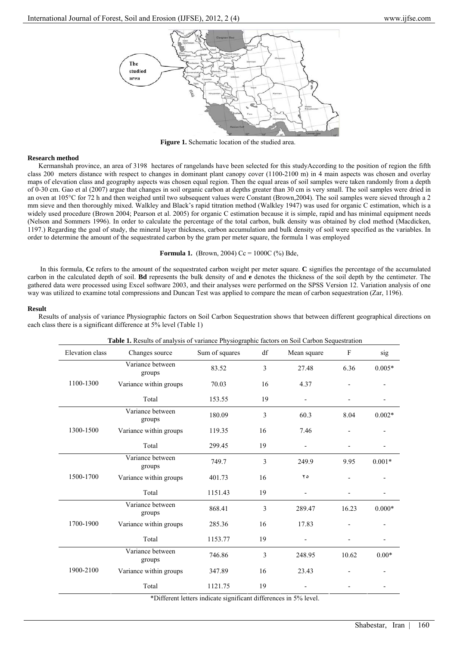

**Figure 1.** Schematic location of the studied area.

## **Research method**

Kermanshah province, an area of 3198 hectares of rangelands have been selected for this studyAccording to the position of region the fifth class 200 meters distance with respect to changes in dominant plant canopy cover (1100-2100 m) in 4 main aspects was chosen and overlay maps of elevation class and geography aspects was chosen equal region. Then the equal areas of soil samples were taken randomly from a depth of 0-30 cm. Gao et al (2007) argue that changes in soil organic carbon at depths greater than 30 cm is very small. The soil samples were dried in an oven at 105°C for 72 h and then weighed until two subsequent values were Constant (Brown,2004). The soil samples were sieved through a 2 mm sieve and then thoroughly mixed. Walkley and Black's rapid titration method (Walkley 1947) was used for organic C estimation, which is a widely used procedure (Brown 2004; Pearson et al. 2005) for organic C estimation because it is simple, rapid and has minimal equipment needs (Nelson and Sommers 1996). In order to calculate the percentage of the total carbon, bulk density was obtained by clod method (Macdicken, 1197.) Regarding the goal of study, the mineral layer thickness, carbon accumulation and bulk density of soil were specified as the variables. In order to determine the amount of the sequestrated carbon by the gram per meter square, the formula 1 was employed

**Formula 1.** (Brown, 2004) Cc =  $1000C$  (%) Bde,

 In this formula, **Cc** refers to the amount of the sequestrated carbon weight per meter square. **C** signifies the percentage of the accumulated carbon in the calculated depth of soil. **Bd** represents the bulk density of and **e** denotes the thickness of the soil depth by the centimeter. The gathered data were processed using Excel software 2003, and their analyses were performed on the SPSS Version 12. Variation analysis of one way was utilized to examine total compressions and Duncan Test was applied to compare the mean of carbon sequestration (Zar, 1196).

## **Result**

Results of analysis of variance Physiographic factors on Soil Carbon Sequestration shows that between different geographical directions on each class there is a significant difference at 5% level (Table 1) **Table 1.** Results of analysis of variance Physiographic factors on Soil Carbon Sequestration

| Elevation class | Changes source             | Sum of squares | df             | Mean square       | F     | sig      |
|-----------------|----------------------------|----------------|----------------|-------------------|-------|----------|
| 1100-1300       | Variance between<br>groups | 83.52          | $\mathfrak{Z}$ | 27.48             | 6.36  | $0.005*$ |
|                 | Variance within groups     | 70.03          | 16             | 4.37              |       |          |
|                 | Total                      | 153.55         | 19             | $\qquad \qquad -$ |       |          |
| 1300-1500       | Variance between<br>groups | 180.09         | 3              | 60.3              | 8.04  | $0.002*$ |
|                 | Variance within groups     | 119.35         | 16             | 7.46              |       |          |
|                 | Total                      | 299.45         | 19             |                   |       |          |
| 1500-1700       | Variance between<br>groups | 749.7          | 3              | 249.9             | 9.95  | $0.001*$ |
|                 | Variance within groups     | 401.73         | 16             | ه ۲               |       |          |
|                 | Total                      | 1151.43        | 19             |                   |       |          |
| 1700-1900       | Variance between<br>groups | 868.41         | 3              | 289.47            | 16.23 | $0.000*$ |
|                 | Variance within groups     | 285.36         | 16             | 17.83             |       |          |
|                 | Total                      | 1153.77        | 19             |                   |       |          |
| 1900-2100       | Variance between<br>groups | 746.86         | 3              | 248.95            | 10.62 | $0.00*$  |
|                 | Variance within groups     | 347.89         | 16             | 23.43             |       |          |
|                 | Total                      | 1121.75        | 19             |                   |       |          |

\*Different letters indicate significant differences in 5% level.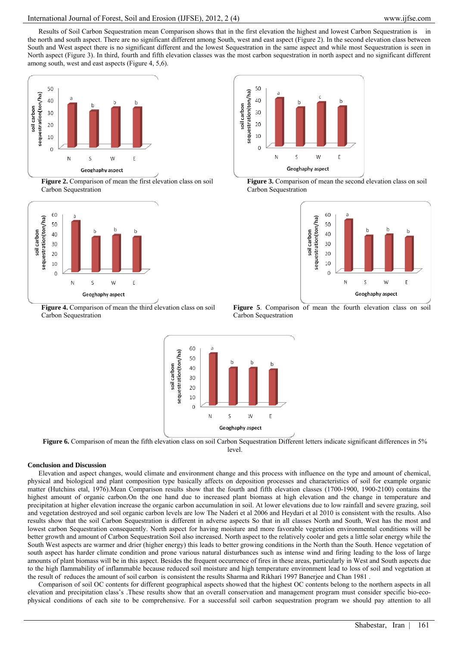Results of Soil Carbon Sequestration mean Comparison shows that in the first elevation the highest and lowest Carbon Sequestration is in the north and south aspect. There are no significant different among South, west and east aspect (Figure 2). In the second elevation class between South and West aspect there is no significant different and the lowest Sequestration in the same aspect and while most Sequestration is seen in North aspect (Figure 3). In third, fourth and fifth elevation classes was the most carbon sequestration in north aspect and no significant different among south, west and east aspects (Figure 4, 5,6).



**Figure 2.** Comparison of mean the first elevation class on soil Carbon Sequestration



50 sequestration(ton/ha)  $\Delta \Omega$ soil carbon  $30$ 20 10  $\Omega$  $\mathbb N$ S W E Geoghaphy aspect





**Figure 4.** Comparison of mean the third elevation class on soil Carbon Sequestration

**Figure 5**. Comparison of mean the fourth elevation class on soil Carbon Sequestration



**Figure 6.** Comparison of mean the fifth elevation class on soil Carbon Sequestration Different letters indicate significant differences in 5% level.

# **Conclusion and Discussion**

Elevation and aspect changes, would climate and environment change and this process with influence on the type and amount of chemical, physical and biological and plant composition type basically affects on deposition processes and characteristics of soil for example organic matter (Hutchins etal, 1976).Mean Comparison results show that the fourth and fifth elevation classes (1700-1900, 1900-2100) contains the highest amount of organic carbon. On the one hand due to increased plant biomass at high elevation and the change in temperature and precipitation at higher elevation increase the organic carbon accumulation in soil. At lower elevations due to low rainfall and severe grazing, soil and vegetation destroyed and soil organic carbon levels are low The Naderi et al 2006 and Heydari et al 2010 is consistent with the results. Also results show that the soil Carbon Sequestration is different in adverse aspects So that in all classes North and South, West has the most and lowest carbon Sequestration consequently. North aspect for having moisture and more favorable vegetation environmental conditions will be better growth and amount of Carbon Sequestration Soil also increased. North aspect to the relatively cooler and gets a little solar energy while the South West aspects are warmer and drier (higher energy) this leads to better growing conditions in the North than the South. Hence vegetation of south aspect has harder climate condition and prone various natural disturbances such as intense wind and firing leading to the loss of large amounts of plant biomass will be in this aspect. Besides the frequent occurrence of fires in these areas, particularly in West and South aspects due to the high flammability of inflammable because reduced soil moisture and high temperature environment lead to loss of soil and vegetation at the result of reduces the amount of soil carbon is consistent the results Sharma and Rikhari 1997 Banerjee and Chan 1981 .

Comparison of soil OC contents for different geographical aspects showed that the highest OC contents belong to the northern aspects in all elevation and precipitation class's .These results show that an overall conservation and management program must consider specific bio-ecophysical conditions of each site to be comprehensive. For a successful soil carbon sequestration program we should pay attention to all